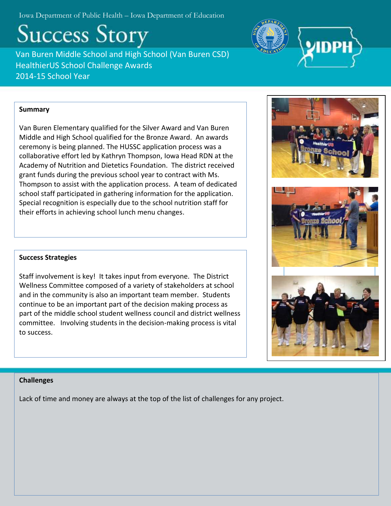Iowa Department of Public Health – Iowa Department of Education

**Success Story** 

Van Buren Middle School and High School (Van Buren CSD) HealthierUS School Challenge Awards 2014-15 School Year

# **Summary**

Van Buren Elementary qualified for the Silver Award and Van Buren Middle and High School qualified for the Bronze Award. An awards ceremony is being planned. The HUSSC application process was a collaborative effort led by Kathryn Thompson, Iowa Head RDN at the Academy of Nutrition and Dietetics Foundation. The district received grant funds during the previous school year to contract with Ms. Thompson to assist with the application process. A team of dedicated school staff participated in gathering information for the application. Special recognition is especially due to the school nutrition staff for their efforts in achieving school lunch menu changes.

## **Success Strategies**

Staff involvement is key! It takes input from everyone. The District Wellness Committee composed of a variety of stakeholders at school and in the community is also an important team member. Students continue to be an important part of the decision making process as part of the middle school student wellness council and district wellness committee. Involving students in the decision-making process is vital to success.

## **Challenges**

Lack of time and money are always at the top of the list of challenges for any project.